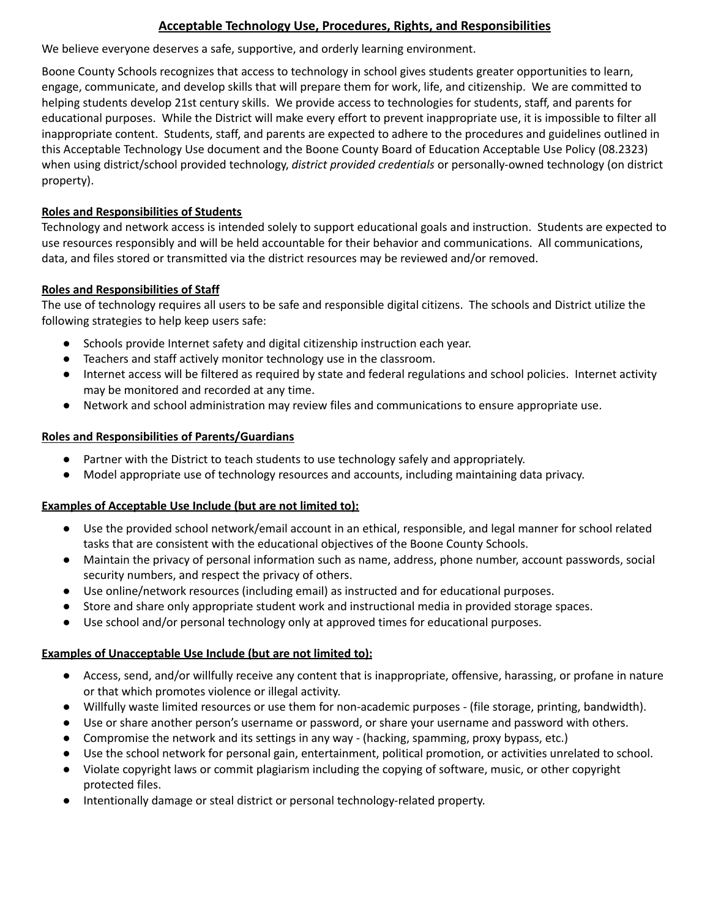## **Acceptable Technology Use, Procedures, Rights, and Responsibilities**

We believe everyone deserves a safe, supportive, and orderly learning environment.

Boone County Schools recognizes that access to technology in school gives students greater opportunities to learn, engage, communicate, and develop skills that will prepare them for work, life, and citizenship. We are committed to helping students develop 21st century skills. We provide access to technologies for students, staff, and parents for educational purposes. While the District will make every effort to prevent inappropriate use, it is impossible to filter all inappropriate content. Students, staff, and parents are expected to adhere to the procedures and guidelines outlined in this Acceptable Technology Use document and the Boone County Board of Education Acceptable Use Policy (08.2323) when using district/school provided technology, *district provided credentials* or personally-owned technology (on district property).

## **Roles and Responsibilities of Students**

Technology and network access is intended solely to support educational goals and instruction. Students are expected to use resources responsibly and will be held accountable for their behavior and communications. All communications, data, and files stored or transmitted via the district resources may be reviewed and/or removed.

## **Roles and Responsibilities of Staff**

The use of technology requires all users to be safe and responsible digital citizens. The schools and District utilize the following strategies to help keep users safe:

- Schools provide Internet safety and digital citizenship instruction each year.
- Teachers and staff actively monitor technology use in the classroom.
- Internet access will be filtered as required by state and federal regulations and school policies. Internet activity may be monitored and recorded at any time.
- Network and school administration may review files and communications to ensure appropriate use.

## **Roles and Responsibilities of Parents/Guardians**

- Partner with the District to teach students to use technology safely and appropriately.
- Model appropriate use of technology resources and accounts, including maintaining data privacy.

## **Examples of Acceptable Use Include (but are not limited to):**

- Use the provided school network/email account in an ethical, responsible, and legal manner for school related tasks that are consistent with the educational objectives of the Boone County Schools.
- Maintain the privacy of personal information such as name, address, phone number, account passwords, social security numbers, and respect the privacy of others.
- Use online/network resources (including email) as instructed and for educational purposes.
- Store and share only appropriate student work and instructional media in provided storage spaces.
- Use school and/or personal technology only at approved times for educational purposes.

#### **Examples of Unacceptable Use Include (but are not limited to):**

- Access, send, and/or willfully receive any content that is inappropriate, offensive, harassing, or profane in nature or that which promotes violence or illegal activity.
- Willfully waste limited resources or use them for non-academic purposes (file storage, printing, bandwidth).
- Use or share another person's username or password, or share your username and password with others.
- Compromise the network and its settings in any way (hacking, spamming, proxy bypass, etc.)
- Use the school network for personal gain, entertainment, political promotion, or activities unrelated to school.
- Violate copyright laws or commit plagiarism including the copying of software, music, or other copyright protected files.
- Intentionally damage or steal district or personal technology-related property.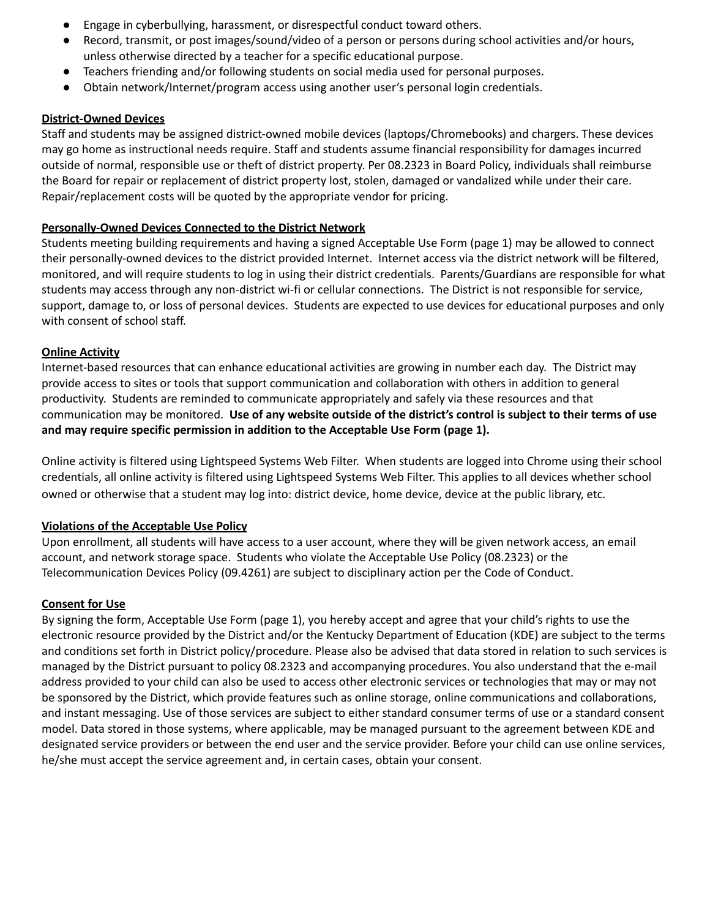- Engage in cyberbullying, harassment, or disrespectful conduct toward others.
- Record, transmit, or post images/sound/video of a person or persons during school activities and/or hours, unless otherwise directed by a teacher for a specific educational purpose.
- Teachers friending and/or following students on social media used for personal purposes.
- Obtain network/Internet/program access using another user's personal login credentials.

#### **District-Owned Devices**

Staff and students may be assigned district-owned mobile devices (laptops/Chromebooks) and chargers. These devices may go home as instructional needs require. Staff and students assume financial responsibility for damages incurred outside of normal, responsible use or theft of district property. Per 08.2323 in Board Policy, individuals shall reimburse the Board for repair or replacement of district property lost, stolen, damaged or vandalized while under their care. Repair/replacement costs will be quoted by the appropriate vendor for pricing.

#### **Personally-Owned Devices Connected to the District Network**

Students meeting building requirements and having a signed Acceptable Use Form (page 1) may be allowed to connect their personally-owned devices to the district provided Internet. Internet access via the district network will be filtered, monitored, and will require students to log in using their district credentials. Parents/Guardians are responsible for what students may access through any non-district wi-fi or cellular connections. The District is not responsible for service, support, damage to, or loss of personal devices. Students are expected to use devices for educational purposes and only with consent of school staff.

## **Online Activity**

Internet-based resources that can enhance educational activities are growing in number each day. The District may provide access to sites or tools that support communication and collaboration with others in addition to general productivity. Students are reminded to communicate appropriately and safely via these resources and that communication may be monitored. Use of any website outside of the district's control is subject to their terms of use **and may require specific permission in addition to the Acceptable Use Form (page 1).**

Online activity is filtered using Lightspeed Systems Web Filter. When students are logged into Chrome using their school credentials, all online activity is filtered using Lightspeed Systems Web Filter. This applies to all devices whether school owned or otherwise that a student may log into: district device, home device, device at the public library, etc.

#### **Violations of the Acceptable Use Policy**

Upon enrollment, all students will have access to a user account, where they will be given network access, an email account, and network storage space. Students who violate the Acceptable Use Policy (08.2323) or the Telecommunication Devices Policy (09.4261) are subject to disciplinary action per the Code of Conduct.

#### **Consent for Use**

By signing the form, Acceptable Use Form (page 1), you hereby accept and agree that your child's rights to use the electronic resource provided by the District and/or the Kentucky Department of Education (KDE) are subject to the terms and conditions set forth in District policy/procedure. Please also be advised that data stored in relation to such services is managed by the District pursuant to policy 08.2323 and accompanying procedures. You also understand that the e-mail address provided to your child can also be used to access other electronic services or technologies that may or may not be sponsored by the District, which provide features such as online storage, online communications and collaborations, and instant messaging. Use of those services are subject to either standard consumer terms of use or a standard consent model. Data stored in those systems, where applicable, may be managed pursuant to the agreement between KDE and designated service providers or between the end user and the service provider. Before your child can use online services, he/she must accept the service agreement and, in certain cases, obtain your consent.